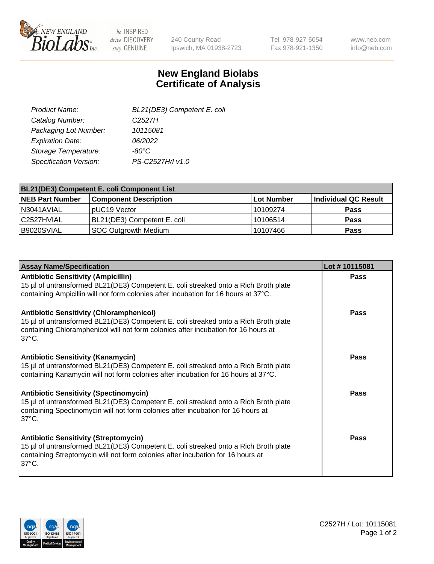

 $be$  INSPIRED drive DISCOVERY stay GENUINE

240 County Road Ipswich, MA 01938-2723 Tel 978-927-5054 Fax 978-921-1350 www.neb.com info@neb.com

## **New England Biolabs Certificate of Analysis**

| BL21(DE3) Competent E. coli |
|-----------------------------|
| C <sub>2527</sub> H         |
| 10115081                    |
| 06/2022                     |
| -80°C                       |
| PS-C2527H/I v1.0            |
|                             |

| <b>BL21(DE3) Competent E. coli Component List</b> |                              |             |                      |  |
|---------------------------------------------------|------------------------------|-------------|----------------------|--|
| <b>NEB Part Number</b>                            | <b>Component Description</b> | ∣Lot Number | Individual QC Result |  |
| N3041AVIAL                                        | DUC <sub>19</sub> Vector     | 10109274    | <b>Pass</b>          |  |
| l C2527HVIAL                                      | BL21(DE3) Competent E. coli  | 10106514    | <b>Pass</b>          |  |
| B9020SVIAL                                        | SOC Outgrowth Medium         | 10107466    | <b>Pass</b>          |  |

| <b>Assay Name/Specification</b>                                                                                                                                                                                                                 | Lot #10115081 |
|-------------------------------------------------------------------------------------------------------------------------------------------------------------------------------------------------------------------------------------------------|---------------|
| <b>Antibiotic Sensitivity (Ampicillin)</b><br>15 µl of untransformed BL21(DE3) Competent E. coli streaked onto a Rich Broth plate<br>containing Ampicillin will not form colonies after incubation for 16 hours at 37°C.                        | <b>Pass</b>   |
| <b>Antibiotic Sensitivity (Chloramphenicol)</b><br>15 µl of untransformed BL21(DE3) Competent E. coli streaked onto a Rich Broth plate<br>containing Chloramphenicol will not form colonies after incubation for 16 hours at<br>$37^{\circ}$ C. | Pass          |
| <b>Antibiotic Sensitivity (Kanamycin)</b><br>15 µl of untransformed BL21(DE3) Competent E. coli streaked onto a Rich Broth plate<br>containing Kanamycin will not form colonies after incubation for 16 hours at 37°C.                          | Pass          |
| <b>Antibiotic Sensitivity (Spectinomycin)</b><br>15 µl of untransformed BL21(DE3) Competent E. coli streaked onto a Rich Broth plate<br>containing Spectinomycin will not form colonies after incubation for 16 hours at<br>$37^{\circ}$ C.     | Pass          |
| <b>Antibiotic Sensitivity (Streptomycin)</b><br>15 µl of untransformed BL21(DE3) Competent E. coli streaked onto a Rich Broth plate<br>containing Streptomycin will not form colonies after incubation for 16 hours at<br>$37^{\circ}$ C.       | Pass          |